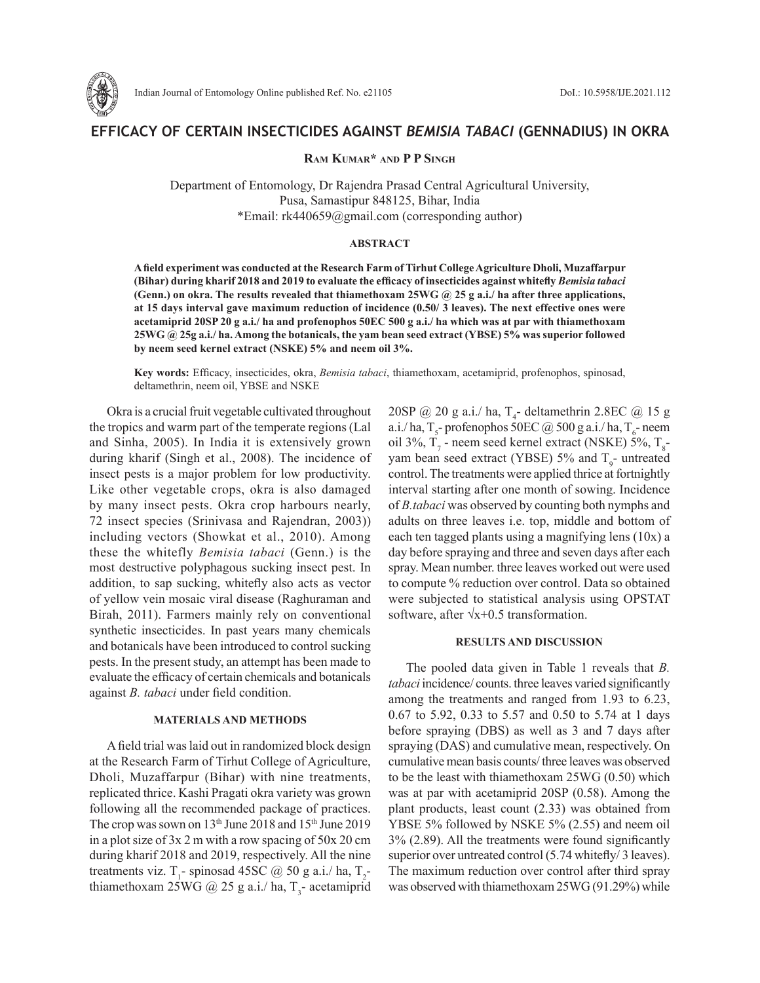

# **EFFICACY OF CERTAIN INSECTICIDES AGAINST** *BEMISIA TABACI* **(GENNADIUS) IN OKRA**

# **Ram Kumar\* and P P Singh**

Department of Entomology, Dr Rajendra Prasad Central Agricultural University, Pusa, Samastipur 848125, Bihar, India \*Email: rk440659@gmail.com (corresponding author)

## **ABSTRACT**

**A field experiment was conducted at the Research Farm of Tirhut College Agriculture Dholi, Muzaffarpur (Bihar) during kharif 2018 and 2019 to evaluate the efficacy of insecticides against whitefly** *Bemisia tabaci*  **(Genn.) on okra. The results revealed that thiamethoxam 25WG @ 25 g a.i./ ha after three applications, at 15 days interval gave maximum reduction of incidence (0.50/ 3 leaves). The next effective ones were acetamiprid 20SP 20 g a.i./ ha and profenophos 50EC 500 g a.i./ ha which was at par with thiamethoxam 25WG @ 25g a.i./ ha. Among the botanicals, the yam bean seed extract (YBSE) 5% was superior followed by neem seed kernel extract (NSKE) 5% and neem oil 3%.** 

**Key words:** Efficacy, insecticides, okra, *Bemisia tabaci*, thiamethoxam, acetamiprid, profenophos, spinosad, deltamethrin, neem oil, YBSE and NSKE

Okra is a crucial fruit vegetable cultivated throughout the tropics and warm part of the temperate regions (Lal and Sinha, 2005). In India it is extensively grown during kharif (Singh et al., 2008). The incidence of insect pests is a major problem for low productivity. Like other vegetable crops, okra is also damaged by many insect pests. Okra crop harbours nearly, 72 insect species (Srinivasa and Rajendran, 2003)) including vectors (Showkat et al., 2010). Among these the whitefly *Bemisia tabaci* (Genn.) is the most destructive polyphagous sucking insect pest. In addition, to sap sucking, whitefly also acts as vector of yellow vein mosaic viral disease (Raghuraman and Birah, 2011). Farmers mainly rely on conventional synthetic insecticides. In past years many chemicals and botanicals have been introduced to control sucking pests. In the present study, an attempt has been made to evaluate the efficacy of certain chemicals and botanicals against *B. tabaci* under field condition.

#### **MATERIALS AND METHODS**

A field trial was laid out in randomized block design at the Research Farm of Tirhut College of Agriculture, Dholi, Muzaffarpur (Bihar) with nine treatments, replicated thrice. Kashi Pragati okra variety was grown following all the recommended package of practices. The crop was sown on 13<sup>th</sup> June 2018 and 15<sup>th</sup> June 2019 in a plot size of 3x 2 m with a row spacing of 50x 20 cm during kharif 2018 and 2019, respectively. All the nine treatments viz. T<sub>1</sub>- spinosad 45SC @ 50 g a.i./ ha, T<sub>2</sub>thiamethoxam 25WG  $@$  25 g a.i./ ha, T<sub>3</sub>- acetamiprid

 $20SP @ 20 g a.i./ ha, T<sub>4</sub>$ - deltamethrin 2.8EC @ 15 g a.i./ ha,  $T_s$ - profenophos 50EC @ 500 g a.i./ ha,  $T_s$ - neem oil 3%,  $T_7$  - neem seed kernel extract (NSKE) 5%,  $T_8$ yam bean seed extract (YBSE)  $5\%$  and  $T<sub>9</sub>$ - untreated control. The treatments were applied thrice at fortnightly interval starting after one month of sowing. Incidence of *B.tabaci* was observed by counting both nymphs and adults on three leaves i.e. top, middle and bottom of each ten tagged plants using a magnifying lens (10x) a day before spraying and three and seven days after each spray. Mean number. three leaves worked out were used to compute % reduction over control. Data so obtained were subjected to statistical analysis using OPSTAT software, after  $\sqrt{x+0.5}$  transformation.

# **RESULTS AND DISCUSSION**

The pooled data given in Table 1 reveals that *B. tabaci* incidence/ counts. three leaves varied significantly among the treatments and ranged from 1.93 to 6.23, 0.67 to 5.92, 0.33 to 5.57 and 0.50 to 5.74 at 1 days before spraying (DBS) as well as 3 and 7 days after spraying (DAS) and cumulative mean, respectively. On cumulative mean basis counts/ three leaves was observed to be the least with thiamethoxam 25WG (0.50) which was at par with acetamiprid 20SP (0.58). Among the plant products, least count (2.33) was obtained from YBSE 5% followed by NSKE 5% (2.55) and neem oil 3% (2.89). All the treatments were found significantly superior over untreated control (5.74 whitefly/3 leaves). The maximum reduction over control after third spray was observed with thiamethoxam 25WG (91.29%) while